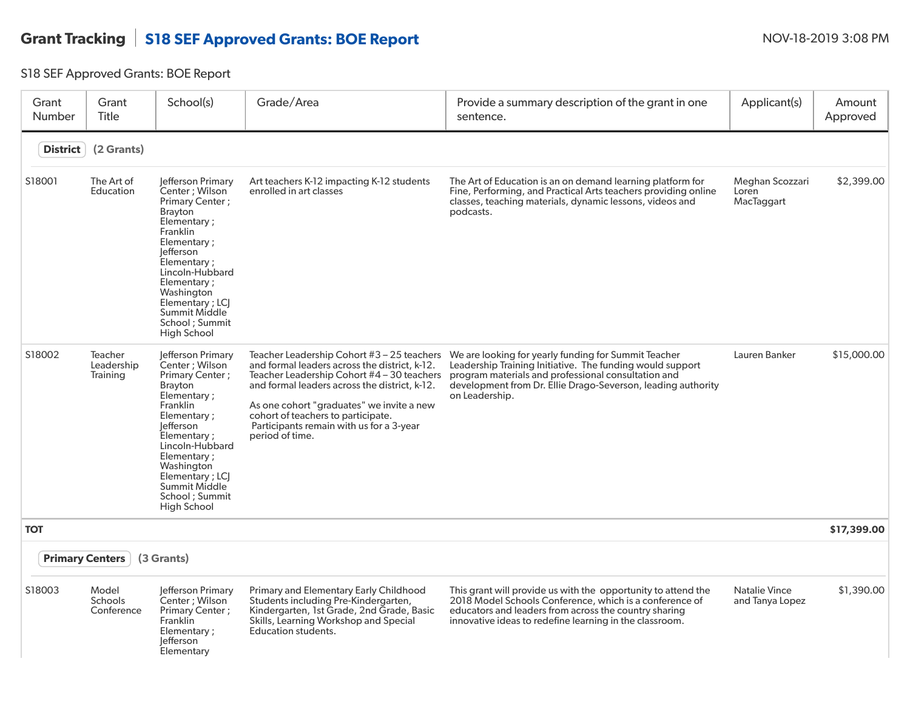## Grant Tracking S18 SEF Approved Grants: BOE Report NOV-18-2019 3:08 PM

S18 SEF Approved Grants: BOE Report

| Grant<br><b>Number</b> | Grant<br><b>Title</b>                 | School(s)                                                                                                                                                                                                                                                                            | Grade/Area                                                                                                                                                                                                                                                                                                                                     | Provide a summary description of the grant in one<br>sentence.                                                                                                                                                                                             | Applicant(s)                            | Amount<br>Approved |
|------------------------|---------------------------------------|--------------------------------------------------------------------------------------------------------------------------------------------------------------------------------------------------------------------------------------------------------------------------------------|------------------------------------------------------------------------------------------------------------------------------------------------------------------------------------------------------------------------------------------------------------------------------------------------------------------------------------------------|------------------------------------------------------------------------------------------------------------------------------------------------------------------------------------------------------------------------------------------------------------|-----------------------------------------|--------------------|
| <b>District</b>        | (2 Grants)                            |                                                                                                                                                                                                                                                                                      |                                                                                                                                                                                                                                                                                                                                                |                                                                                                                                                                                                                                                            |                                         |                    |
| S18001                 | The Art of<br>Education               | Jefferson Primary<br>Center: Wilson<br>Primary Center;<br><b>Brayton</b><br>Elementary;<br><b>Franklin</b><br>Elementary ;<br>lefferson<br>Elementary;<br>Lincoln-Hubbard<br>Elementary;<br>Washington<br>Elementary ; LCJ<br>Summit Middle<br>School ; Summit<br><b>High School</b> | Art teachers K-12 impacting K-12 students<br>enrolled in art classes                                                                                                                                                                                                                                                                           | The Art of Education is an on demand learning platform for<br>Fine, Performing, and Practical Arts teachers providing online<br>classes, teaching materials, dynamic lessons, videos and<br>podcasts.                                                      | Meghan Scozzari<br>Loren<br>MacTaggart  | \$2,399.00         |
| S18002                 | Teacher<br>Leadership<br>Training     | Jefferson Primary<br>Center ; Wilson<br>Primary Center;<br><b>Brayton</b><br>Elementary;<br>Franklin<br>Elementary;<br>lefferson<br>Elementary;<br>Lincoln-Hubbard<br>Elementary;<br>Washington<br>Elementary; LCJ<br>Summit Middle<br>School ; Summit<br>High School                | Teacher Leadership Cohort $#3 - 25$ teachers<br>and formal leaders across the district, k-12.<br>Teacher Leadership Cohort #4 - 30 teachers<br>and formal leaders across the district, k-12.<br>As one cohort "graduates" we invite a new<br>cohort of teachers to participate.<br>Participants remain with us for a 3-year<br>period of time. | We are looking for yearly funding for Summit Teacher<br>Leadership Training Initiative. The funding would support<br>program materials and professional consultation and<br>development from Dr. Ellie Drago-Severson, leading authority<br>on Leadership. | Lauren Banker                           | \$15,000.00        |
| <b>TOT</b>             |                                       |                                                                                                                                                                                                                                                                                      |                                                                                                                                                                                                                                                                                                                                                |                                                                                                                                                                                                                                                            |                                         | \$17,399.00        |
|                        | <b>Primary Centers</b>                | (3 Grants)                                                                                                                                                                                                                                                                           |                                                                                                                                                                                                                                                                                                                                                |                                                                                                                                                                                                                                                            |                                         |                    |
| S18003                 | Model<br><b>Schools</b><br>Conference | Jefferson Primary<br>Center; Wilson<br>Primary Center ;<br>Franklin<br>Elementary;<br>lefferson<br>Elementary                                                                                                                                                                        | <b>Primary and Elementary Early Childhood</b><br>Students including Pre-Kindergarten,<br>Kindergarten, 1st Grade, 2nd Grade, Basic<br>Skills, Learning Workshop and Special<br>Education students.                                                                                                                                             | This grant will provide us with the opportunity to attend the<br>2018 Model Schools Conference, which is a conference of<br>educators and leaders from across the country sharing<br>innovative ideas to redefine learning in the classroom.               | <b>Natalie Vince</b><br>and Tanya Lopez | \$1,390.00         |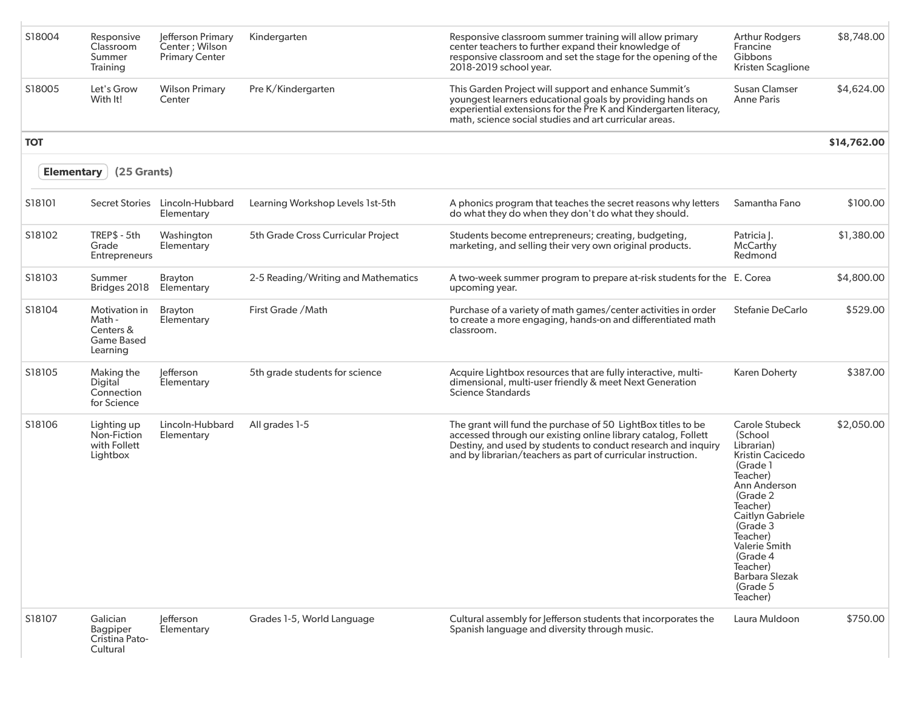| S18004            | Responsive<br>Classroom<br>Summer<br>Training                         | Jefferson Primary<br>Center; Wilson<br><b>Primary Center</b> | Kindergarten                        | Responsive classroom summer training will allow primary<br>center teachers to further expand their knowledge of<br>responsive classroom and set the stage for the opening of the<br>2018-2019 school year.                                                     | <b>Arthur Rodgers</b><br>Francine<br>Gibbons<br>Kristen Scaglione                                                                                                                                                                                                 | \$8,748.00  |
|-------------------|-----------------------------------------------------------------------|--------------------------------------------------------------|-------------------------------------|----------------------------------------------------------------------------------------------------------------------------------------------------------------------------------------------------------------------------------------------------------------|-------------------------------------------------------------------------------------------------------------------------------------------------------------------------------------------------------------------------------------------------------------------|-------------|
| S18005            | Let's Grow<br>With It!                                                | <b>Wilson Primary</b><br>Center                              | Pre K/Kindergarten                  | This Garden Project will support and enhance Summit's<br>youngest learners educational goals by providing hands on<br>experiential extensions for the Pre K and Kindergarten literacy,<br>math, science social studies and art curricular areas.               | Susan Clamser<br><b>Anne Paris</b>                                                                                                                                                                                                                                | \$4,624.00  |
| <b>TOT</b>        |                                                                       |                                                              |                                     |                                                                                                                                                                                                                                                                |                                                                                                                                                                                                                                                                   | \$14,762.00 |
| <b>Elementary</b> | (25 Grants)                                                           |                                                              |                                     |                                                                                                                                                                                                                                                                |                                                                                                                                                                                                                                                                   |             |
| S18101            |                                                                       | Secret Stories Lincoln-Hubbard<br>Elementary                 | Learning Workshop Levels 1st-5th    | A phonics program that teaches the secret reasons why letters<br>do what they do when they don't do what they should.                                                                                                                                          | Samantha Fano                                                                                                                                                                                                                                                     | \$100.00    |
| S18102            | TREP\$ - 5th<br>Grade<br><b>Entrepreneurs</b>                         | Washington<br>Elementary                                     | 5th Grade Cross Curricular Project  | Students become entrepreneurs; creating, budgeting,<br>marketing, and selling their very own original products.                                                                                                                                                | Patricia J.<br>McCarthy<br>Redmond                                                                                                                                                                                                                                | \$1,380.00  |
| S18103            | Summer<br>Bridges 2018                                                | <b>Brayton</b><br>Elementary                                 | 2-5 Reading/Writing and Mathematics | A two-week summer program to prepare at-risk students for the E. Corea<br>upcoming year.                                                                                                                                                                       |                                                                                                                                                                                                                                                                   | \$4,800.00  |
| S18104            | Motivation in<br>Math -<br>Centers &<br><b>Game Based</b><br>Learning | <b>Brayton</b><br>Elementary                                 | First Grade / Math                  | Purchase of a variety of math games/center activities in order<br>to create a more engaging, hands-on and differentiated math<br>classroom.                                                                                                                    | Stefanie DeCarlo                                                                                                                                                                                                                                                  | \$529.00    |
| S18105            | Making the<br>Digital<br>Connection<br>for Science                    | lefferson<br>Elementary                                      | 5th grade students for science      | Acquire Lightbox resources that are fully interactive, multi-<br>dimensional, multi-user friendly & meet Next Generation<br><b>Science Standards</b>                                                                                                           | <b>Karen Doherty</b>                                                                                                                                                                                                                                              | \$387.00    |
| S18106            | Lighting up<br>Non-Fiction<br>with Follett<br>Lightbox                | Lincoln-Hubbard<br>Elementary                                | All grades 1-5                      | The grant will fund the purchase of 50 LightBox titles to be<br>accessed through our existing online library catalog, Follett<br>Destiny, and used by students to conduct research and inquiry<br>and by librarian/teachers as part of curricular instruction. | <b>Carole Stubeck</b><br>(School<br>Librarian)<br>Kristin Cacicedo<br>(Grade 1<br>Teacher)<br>Ann Anderson<br>(Grade 2<br>Teacher)<br>Caitlyn Gabriele<br>(Grade 3<br>Teacher)<br>Valerie Smith<br>(Grade 4<br>Teacher)<br>Barbara Slezak<br>(Grade 5<br>Teacher) | \$2,050.00  |
| S18107            | Galician<br>Bagpiper<br>Cristina Pato-<br>Cultural                    | lefferson<br>Elementary                                      | Grades 1-5, World Language          | Cultural assembly for Jefferson students that incorporates the<br>Spanish language and diversity through music.                                                                                                                                                | Laura Muldoon                                                                                                                                                                                                                                                     | \$750.00    |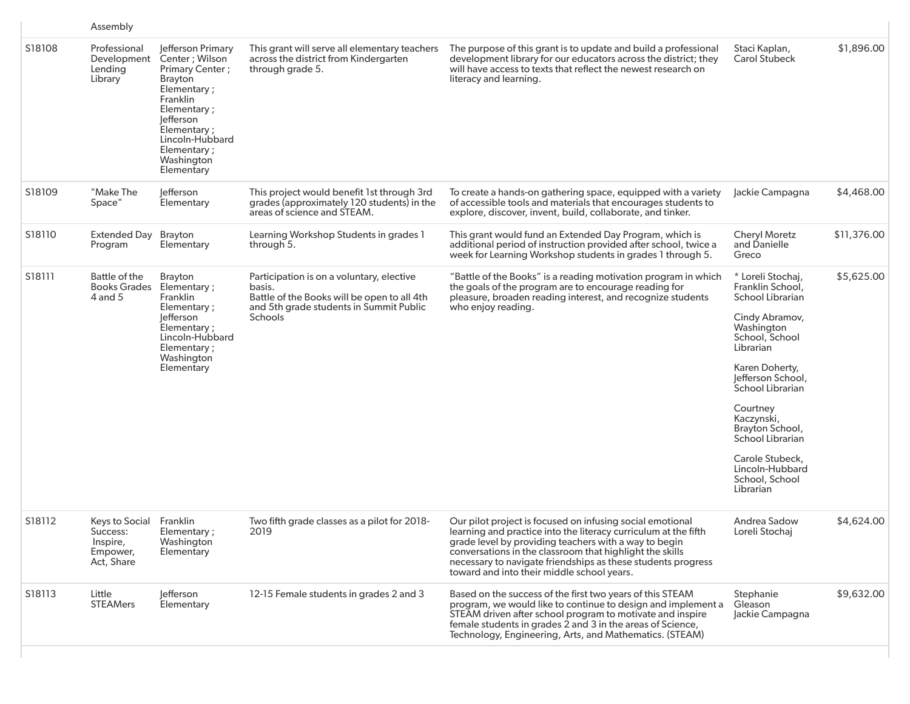|        | Assembly                                                                  |                                                                                                                                                                                                              |                                                                                                                                                          |                                                                                                                                                                                                                                                                                                                                                                 |                                                                                                                                                                                                                                                                                                                           |             |
|--------|---------------------------------------------------------------------------|--------------------------------------------------------------------------------------------------------------------------------------------------------------------------------------------------------------|----------------------------------------------------------------------------------------------------------------------------------------------------------|-----------------------------------------------------------------------------------------------------------------------------------------------------------------------------------------------------------------------------------------------------------------------------------------------------------------------------------------------------------------|---------------------------------------------------------------------------------------------------------------------------------------------------------------------------------------------------------------------------------------------------------------------------------------------------------------------------|-------------|
| S18108 | Professional<br>Development<br>Lending<br>Library                         | Jefferson Primary<br>Center ; Wilson<br>Primary Center;<br><b>Brayton</b><br>Elementary;<br>Franklin<br>Elementary;<br>efferson<br>Elementary;<br>Lincoln-Hubbard<br>Elementary;<br>Washington<br>Elementary | This grant will serve all elementary teachers<br>across the district from Kindergarten<br>through grade 5.                                               | The purpose of this grant is to update and build a professional<br>development library for our educators across the district; they<br>will have access to texts that reflect the newest research on<br>literacy and learning.                                                                                                                                   | Staci Kaplan,<br><b>Carol Stubeck</b>                                                                                                                                                                                                                                                                                     | \$1,896.00  |
| S18109 | "Make The<br>Space"                                                       | lefferson<br>Elementary                                                                                                                                                                                      | This project would benefit 1st through 3rd<br>grades (approximately 120 students) in the<br>areas of science and STEAM.                                  | To create a hands-on gathering space, equipped with a variety<br>of accessible tools and materials that encourages students to<br>explore, discover, invent, build, collaborate, and tinker.                                                                                                                                                                    | Jackie Campagna                                                                                                                                                                                                                                                                                                           | \$4,468.00  |
| S18110 | <b>Extended Day</b><br>Program                                            | Brayton<br>Elementary                                                                                                                                                                                        | Learning Workshop Students in grades 1<br>through 5.                                                                                                     | This grant would fund an Extended Day Program, which is<br>additional period of instruction provided after school, twice a<br>week for Learning Workshop students in grades 1 through 5.                                                                                                                                                                        | <b>Cheryl Moretz</b><br>and Danielle<br>Greco                                                                                                                                                                                                                                                                             | \$11,376.00 |
| S18111 | Battle of the<br>Books Grades Elementary:<br>4 and 5                      | Brayton<br>Franklin<br>Elementary ;<br><b>Jefferson</b><br>Elementary;<br>Lincoln-Hubbard<br>Elementary;<br>Washington<br>Elementary                                                                         | Participation is on a voluntary, elective<br>basis.<br>Battle of the Books will be open to all 4th<br>and 5th grade students in Summit Public<br>Schools | "Battle of the Books" is a reading motivation program in which<br>the goals of the program are to encourage reading for<br>pleasure, broaden reading interest, and recognize students<br>who enjoy reading.                                                                                                                                                     | * Loreli Stochaj,<br>Franklin School,<br>School Librarian<br>Cindy Abramov,<br>Washington<br>School, School<br>Librarian<br>Karen Doherty,<br>Jefferson School,<br>School Librarian<br>Courtney<br>Kaczynski,<br>Brayton School,<br>School Librarian<br>Carole Stubeck,<br>Lincoln-Hubbard<br>School, School<br>Librarian | \$5,625.00  |
| S18112 | Keys to Social Franklin<br>Success:<br>Inspire,<br>Empower,<br>Act, Share | Elementary;<br>Washington<br>Elementary                                                                                                                                                                      | Two fifth grade classes as a pilot for 2018-<br>2019                                                                                                     | Our pilot project is focused on infusing social emotional<br>learning and practice into the literacy curriculum at the fifth<br>grade level by providing teachers with a way to begin<br>conversations in the classroom that highlight the skills<br>necessary to navigate friendships as these students progress<br>toward and into their middle school years. | Andrea Sadow<br>Loreli Stochaj                                                                                                                                                                                                                                                                                            | \$4,624.00  |
| S18113 | Little<br><b>STEAMers</b>                                                 | lefferson<br>Elementary                                                                                                                                                                                      | 12-15 Female students in grades 2 and 3                                                                                                                  | Based on the success of the first two years of this STEAM<br>program, we would like to continue to design and implement a<br>STEAM driven after school program to motivate and inspire<br>female students in grades 2 and 3 in the areas of Science,<br>Technology, Engineering, Arts, and Mathematics. (STEAM)                                                 | Stephanie<br>Gleason<br>Jackie Campagna                                                                                                                                                                                                                                                                                   | \$9,632.00  |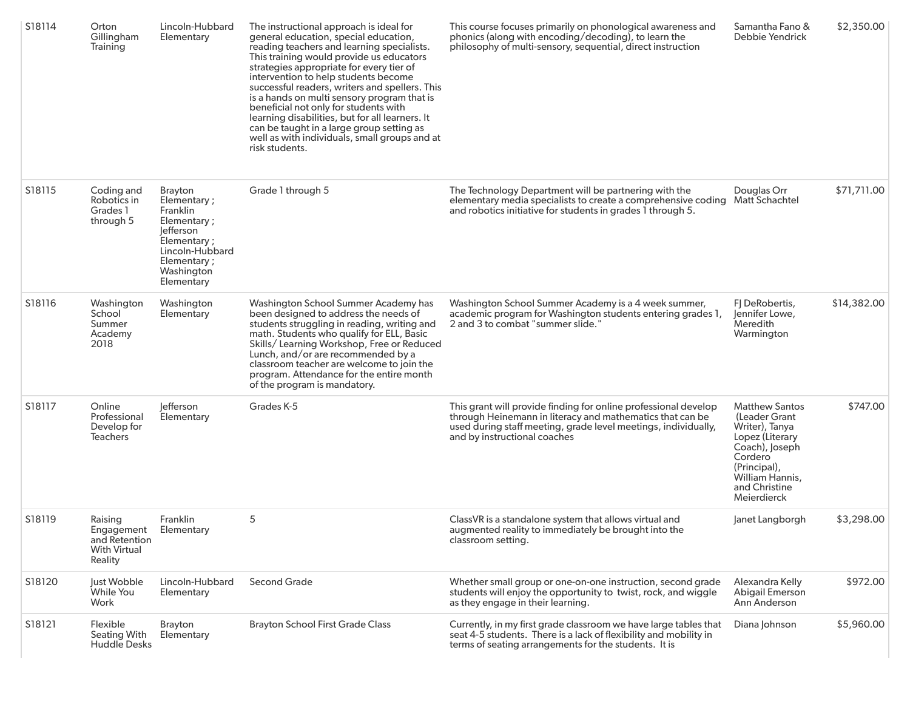| S18114 | Orton<br>Gillingham<br>Training                                          | Lincoln-Hubbard<br>Elementary                                                                                                               | The instructional approach is ideal for<br>general education, special education,<br>reading teachers and learning specialists.<br>This training would provide us educators<br>strategies appropriate for every tier of<br>intervention to help students become<br>successful readers, writers and spellers. This<br>is a hands on multi sensory program that is<br>beneficial not only for students with<br>learning disabilities, but for all learners. It<br>can be taught in a large group setting as<br>well as with individuals, small groups and at<br>risk students. | This course focuses primarily on phonological awareness and<br>phonics (along with encoding/decoding), to learn the<br>philosophy of multi-sensory, sequential, direct instruction                                             | Samantha Fano &<br>Debbie Yendrick                                                                                                                                          | \$2,350.00  |
|--------|--------------------------------------------------------------------------|---------------------------------------------------------------------------------------------------------------------------------------------|-----------------------------------------------------------------------------------------------------------------------------------------------------------------------------------------------------------------------------------------------------------------------------------------------------------------------------------------------------------------------------------------------------------------------------------------------------------------------------------------------------------------------------------------------------------------------------|--------------------------------------------------------------------------------------------------------------------------------------------------------------------------------------------------------------------------------|-----------------------------------------------------------------------------------------------------------------------------------------------------------------------------|-------------|
| S18115 | Coding and<br>Robotics in<br>Grades 1<br>through 5                       | Brayton<br>Elementary;<br>Franklin<br>Elementary;<br>Jefferson<br>Elementary;<br>Lincoln-Hubbard<br>Elementary;<br>Washington<br>Elementary | Grade 1 through 5                                                                                                                                                                                                                                                                                                                                                                                                                                                                                                                                                           | The Technology Department will be partnering with the<br>elementary media specialists to create a comprehensive coding<br>and robotics initiative for students in grades 1 through 5.                                          | Douglas Orr<br>Matt Schachtel                                                                                                                                               | \$71,711.00 |
| S18116 | Washington<br>School<br>Summer<br>Academy<br>2018                        | Washington<br>Elementary                                                                                                                    | Washington School Summer Academy has<br>been designed to address the needs of<br>students struggling in reading, writing and<br>math. Students who qualify for ELL, Basic<br>Skills/ Learning Workshop, Free or Reduced<br>Lunch, and/or are recommended by a<br>classroom teacher are welcome to join the<br>program. Attendance for the entire month<br>of the program is mandatory.                                                                                                                                                                                      | Washington School Summer Academy is a 4 week summer,<br>academic program for Washington students entering grades 1,<br>2 and 3 to combat "summer slide."                                                                       | FJ DeRobertis,<br>Jennifer Lowe,<br>Meredith<br>Warmington                                                                                                                  | \$14,382.00 |
| S18117 | Online<br>Professional<br>Develop for<br><b>Teachers</b>                 | lefferson<br>Elementary                                                                                                                     | Grades K-5                                                                                                                                                                                                                                                                                                                                                                                                                                                                                                                                                                  | This grant will provide finding for online professional develop<br>through Heinemann in literacy and mathematics that can be<br>used during staff meeting, grade level meetings, individually,<br>and by instructional coaches | <b>Matthew Santos</b><br>(Leader Grant<br>Writer), Tanya<br>Lopez (Literary<br>Coach), Joseph<br>Cordero<br>(Principal),<br>William Hannis,<br>and Christine<br>Meierdierck | \$747.00    |
| S18119 | Raising<br>Engagement<br>and Retention<br><b>With Virtual</b><br>Reality | Franklin<br>Elementary                                                                                                                      | 5                                                                                                                                                                                                                                                                                                                                                                                                                                                                                                                                                                           | ClassVR is a standalone system that allows virtual and<br>augmented reality to immediately be brought into the<br>classroom setting.                                                                                           | Janet Langborgh                                                                                                                                                             | \$3,298.00  |
| S18120 | Just Wobble<br>While You<br>Work                                         | Lincoln-Hubbard<br>Elementary                                                                                                               | <b>Second Grade</b>                                                                                                                                                                                                                                                                                                                                                                                                                                                                                                                                                         | Whether small group or one-on-one instruction, second grade<br>students will enjoy the opportunity to twist, rock, and wiggle<br>as they engage in their learning.                                                             | Alexandra Kelly<br><b>Abigail Emerson</b><br>Ann Anderson                                                                                                                   | \$972.00    |
| S18121 | Flexible<br>Seating With<br><b>Huddle Desks</b>                          | <b>Brayton</b><br>Elementary                                                                                                                | <b>Brayton School First Grade Class</b>                                                                                                                                                                                                                                                                                                                                                                                                                                                                                                                                     | Currently, in my first grade classroom we have large tables that<br>seat 4-5 students. There is a lack of flexibility and mobility in<br>terms of seating arrangements for the students. It is                                 | Diana Johnson                                                                                                                                                               | \$5,960.00  |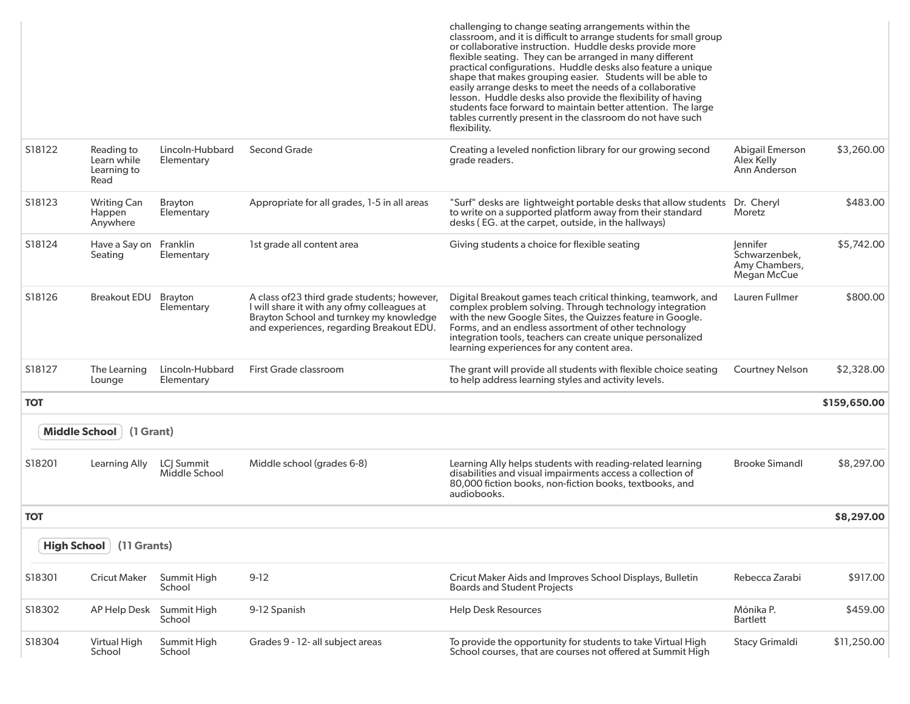|                      |                                                  |                               |                                                                                                                                                                                    | challenging to change seating arrangements within the<br>classroom, and it is difficult to arrange students for small group<br>or collaborative instruction. Huddle desks provide more<br>flexible seating. They can be arranged in many different<br>practical configurations. Huddle desks also feature a unique<br>shape that makes grouping easier. Students will be able to<br>easily arrange desks to meet the needs of a collaborative<br>lesson. Huddle desks also provide the flexibility of having<br>students face forward to maintain better attention. The large<br>tables currently present in the classroom do not have such<br>flexibility. |                                                           |              |
|----------------------|--------------------------------------------------|-------------------------------|------------------------------------------------------------------------------------------------------------------------------------------------------------------------------------|-------------------------------------------------------------------------------------------------------------------------------------------------------------------------------------------------------------------------------------------------------------------------------------------------------------------------------------------------------------------------------------------------------------------------------------------------------------------------------------------------------------------------------------------------------------------------------------------------------------------------------------------------------------|-----------------------------------------------------------|--------------|
| S18122               | Reading to<br>Learn while<br>Learning to<br>Read | Lincoln-Hubbard<br>Elementary | <b>Second Grade</b>                                                                                                                                                                | Creating a leveled nonfiction library for our growing second<br>grade readers.                                                                                                                                                                                                                                                                                                                                                                                                                                                                                                                                                                              | Abigail Emerson<br>Alex Kelly<br>Ann Anderson             | \$3,260.00   |
| S18123               | <b>Writing Can</b><br>Happen<br>Anywhere         | <b>Brayton</b><br>Elementary  | Appropriate for all grades, 1-5 in all areas                                                                                                                                       | "Surf" desks are lightweight portable desks that allow students Dr. Cheryl<br>to write on a supported platform away from their standard<br>desks (EG. at the carpet, outside, in the hallways)                                                                                                                                                                                                                                                                                                                                                                                                                                                              | Moretz                                                    | \$483.00     |
| S18124               | Have a Say on<br>Seating                         | Franklin<br>Elementary        | 1st grade all content area                                                                                                                                                         | Giving students a choice for flexible seating                                                                                                                                                                                                                                                                                                                                                                                                                                                                                                                                                                                                               | lennifer<br>Schwarzenbek,<br>Amy Chambers,<br>Megan McCue | \$5,742.00   |
| S18126               | Breakout EDU Brayton                             | Elementary                    | A class of 23 third grade students; however,<br>I will share it with any ofmy colleagues at<br>Brayton School and turnkey my knowledge<br>and experiences, regarding Breakout EDU. | Digital Breakout games teach critical thinking, teamwork, and<br>complex problem solving. Through technology integration<br>with the new Google Sites, the Quizzes feature in Google.<br>Forms, and an endless assortment of other technology<br>integration tools, teachers can create unique personalized<br>learning experiences for any content area.                                                                                                                                                                                                                                                                                                   | Lauren Fullmer                                            | \$800.00     |
| S18127               | The Learning<br>Lounge                           | Lincoln-Hubbard<br>Elementary | First Grade classroom                                                                                                                                                              | The grant will provide all students with flexible choice seating<br>to help address learning styles and activity levels.                                                                                                                                                                                                                                                                                                                                                                                                                                                                                                                                    | <b>Courtney Nelson</b>                                    | \$2,328.00   |
| <b>TOT</b>           |                                                  |                               |                                                                                                                                                                                    |                                                                                                                                                                                                                                                                                                                                                                                                                                                                                                                                                                                                                                                             |                                                           | \$159,650.00 |
| <b>Middle School</b> | (1 Grant)                                        |                               |                                                                                                                                                                                    |                                                                                                                                                                                                                                                                                                                                                                                                                                                                                                                                                                                                                                                             |                                                           |              |
| S18201               | Learning Ally                                    | LCJ Summit<br>Middle School   | Middle school (grades 6-8)                                                                                                                                                         | Learning Ally helps students with reading-related learning<br>disabilities and visual impairments access a collection of<br>80,000 fiction books, non-fiction books, textbooks, and<br>audiobooks.                                                                                                                                                                                                                                                                                                                                                                                                                                                          | <b>Brooke Simandl</b>                                     | \$8,297.00   |
| <b>TOT</b>           |                                                  |                               |                                                                                                                                                                                    |                                                                                                                                                                                                                                                                                                                                                                                                                                                                                                                                                                                                                                                             |                                                           | \$8,297.00   |
| <b>High School</b>   | (11 Grants)                                      |                               |                                                                                                                                                                                    |                                                                                                                                                                                                                                                                                                                                                                                                                                                                                                                                                                                                                                                             |                                                           |              |
| S18301               | <b>Cricut Maker</b>                              | Summit High<br>School         | $9-12$                                                                                                                                                                             | Cricut Maker Aids and Improves School Displays, Bulletin<br><b>Boards and Student Projects</b>                                                                                                                                                                                                                                                                                                                                                                                                                                                                                                                                                              | Rebecca Zarabi                                            | \$917.00     |
| S18302               | AP Help Desk                                     | Summit High<br>School         | 9-12 Spanish                                                                                                                                                                       | <b>Help Desk Resources</b>                                                                                                                                                                                                                                                                                                                                                                                                                                                                                                                                                                                                                                  | Mónika P.<br><b>Bartlett</b>                              | \$459.00     |
| S18304               | Virtual High<br>School                           | Summit High<br>School         | Grades 9 - 12- all subject areas                                                                                                                                                   | To provide the opportunity for students to take Virtual High<br>School courses, that are courses not offered at Summit High                                                                                                                                                                                                                                                                                                                                                                                                                                                                                                                                 | Stacy Grimaldi                                            | \$11,250.00  |